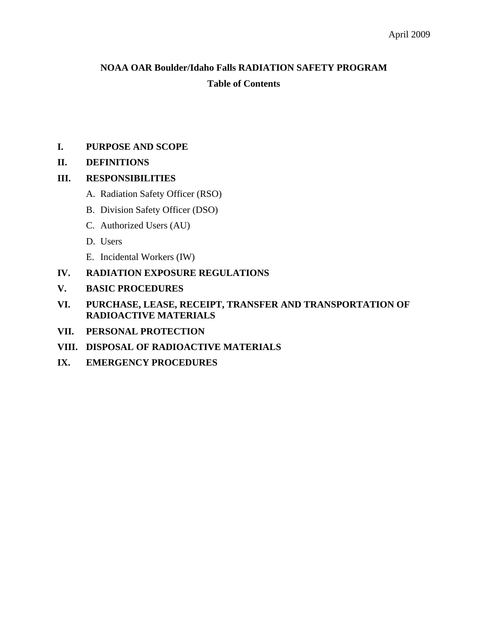# **NOAA OAR Boulder/Idaho Falls RADIATION SAFETY PROGRAM Table of Contents**

# **I. PURPOSE AND SCOPE**

# **II. DEFINITIONS**

# **III. RESPONSIBILITIES**

- A. Radiation Safety Officer (RSO)
- B. Division Safety Officer (DSO)
- C. Authorized Users (AU)
- D. Users
- E. Incidental Workers (IW)
- **IV. RADIATION EXPOSURE REGULATIONS**
- **V. BASIC PROCEDURES**
- **VI. PURCHASE, LEASE, RECEIPT, TRANSFER AND TRANSPORTATION OF RADIOACTIVE MATERIALS**
- **VII. PERSONAL PROTECTION**
- **VIII. DISPOSAL OF RADIOACTIVE MATERIALS**
- **IX. EMERGENCY PROCEDURES**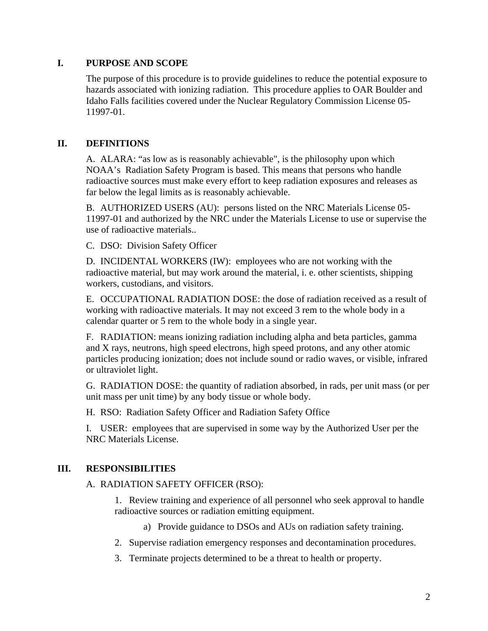# **I. PURPOSE AND SCOPE**

The purpose of this procedure is to provide guidelines to reduce the potential exposure to hazards associated with ionizing radiation. This procedure applies to OAR Boulder and Idaho Falls facilities covered under the Nuclear Regulatory Commission License 05- 11997-01.

# **II. DEFINITIONS**

A. ALARA: "as low as is reasonably achievable", is the philosophy upon which NOAA's Radiation Safety Program is based. This means that persons who handle radioactive sources must make every effort to keep radiation exposures and releases as far below the legal limits as is reasonably achievable.

B. AUTHORIZED USERS (AU): persons listed on the NRC Materials License 05- 11997-01 and authorized by the NRC under the Materials License to use or supervise the use of radioactive materials..

C. DSO: Division Safety Officer

D. INCIDENTAL WORKERS (IW): employees who are not working with the radioactive material, but may work around the material, i. e. other scientists, shipping workers, custodians, and visitors.

E. OCCUPATIONAL RADIATION DOSE: the dose of radiation received as a result of working with radioactive materials. It may not exceed 3 rem to the whole body in a calendar quarter or 5 rem to the whole body in a single year.

F. RADIATION: means ionizing radiation including alpha and beta particles, gamma and X rays, neutrons, high speed electrons, high speed protons, and any other atomic particles producing ionization; does not include sound or radio waves, or visible, infrared or ultraviolet light.

G. RADIATION DOSE: the quantity of radiation absorbed, in rads, per unit mass (or per unit mass per unit time) by any body tissue or whole body.

H. RSO: Radiation Safety Officer and Radiation Safety Office

I. USER: employees that are supervised in some way by the Authorized User per the NRC Materials License.

# **III. RESPONSIBILITIES**

A. RADIATION SAFETY OFFICER (RSO):

1. Review training and experience of all personnel who seek approval to handle radioactive sources or radiation emitting equipment.

a) Provide guidance to DSOs and AUs on radiation safety training.

- 2. Supervise radiation emergency responses and decontamination procedures.
- 3. Terminate projects determined to be a threat to health or property.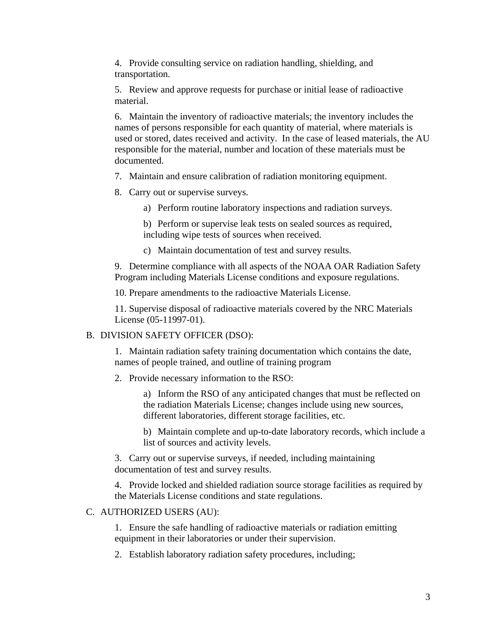4. Provide consulting service on radiation handling, shielding, and transportation.

5. Review and approve requests for purchase or initial lease of radioactive material.

6. Maintain the inventory of radioactive materials; the inventory includes the names of persons responsible for each quantity of material, where materials is used or stored, dates received and activity. In the case of leased materials, the AU responsible for the material, number and location of these materials must be documented.

7. Maintain and ensure calibration of radiation monitoring equipment.

- 8. Carry out or supervise surveys.
	- a) Perform routine laboratory inspections and radiation surveys.

b) Perform or supervise leak tests on sealed sources as required, including wipe tests of sources when received.

c) Maintain documentation of test and survey results.

9. Determine compliance with all aspects of the NOAA OAR Radiation Safety Program including Materials License conditions and exposure regulations.

10. Prepare amendments to the radioactive Materials License.

11. Supervise disposal of radioactive materials covered by the NRC Materials License (05-11997-01).

#### B. DIVISION SAFETY OFFICER (DSO):

1. Maintain radiation safety training documentation which contains the date, names of people trained, and outline of training program

2. Provide necessary information to the RSO:

a) Inform the RSO of any anticipated changes that must be reflected on the radiation Materials License; changes include using new sources, different laboratories, different storage facilities, etc.

b) Maintain complete and up-to-date laboratory records, which include a list of sources and activity levels.

3. Carry out or supervise surveys, if needed, including maintaining documentation of test and survey results.

4. Provide locked and shielded radiation source storage facilities as required by the Materials License conditions and state regulations.

#### C. AUTHORIZED USERS (AU):

1. Ensure the safe handling of radioactive materials or radiation emitting equipment in their laboratories or under their supervision.

2. Establish laboratory radiation safety procedures, including;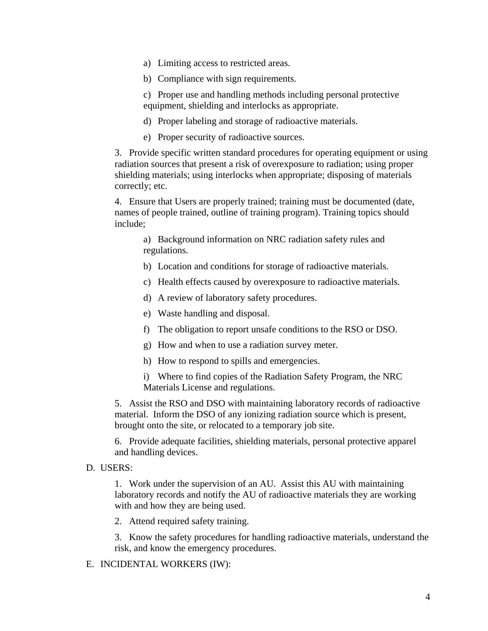- a) Limiting access to restricted areas.
- b) Compliance with sign requirements.

c) Proper use and handling methods including personal protective equipment, shielding and interlocks as appropriate.

- d) Proper labeling and storage of radioactive materials.
- e) Proper security of radioactive sources.

3. Provide specific written standard procedures for operating equipment or using radiation sources that present a risk of overexposure to radiation; using proper shielding materials; using interlocks when appropriate; disposing of materials correctly; etc.

4. Ensure that Users are properly trained; training must be documented (date, names of people trained, outline of training program). Training topics should include;

a) Background information on NRC radiation safety rules and regulations.

- b) Location and conditions for storage of radioactive materials.
- c) Health effects caused by overexposure to radioactive materials.
- d) A review of laboratory safety procedures.
- e) Waste handling and disposal.
- f) The obligation to report unsafe conditions to the RSO or DSO.
- g) How and when to use a radiation survey meter.
- h) How to respond to spills and emergencies.
- i) Where to find copies of the Radiation Safety Program, the NRC Materials License and regulations.

5. Assist the RSO and DSO with maintaining laboratory records of radioactive material. Inform the DSO of any ionizing radiation source which is present, brought onto the site, or relocated to a temporary job site.

6. Provide adequate facilities, shielding materials, personal protective apparel and handling devices.

#### D. USERS:

1. Work under the supervision of an AU. Assist this AU with maintaining laboratory records and notify the AU of radioactive materials they are working with and how they are being used.

2. Attend required safety training.

3. Know the safety procedures for handling radioactive materials, understand the risk, and know the emergency procedures.

#### E. INCIDENTAL WORKERS (IW):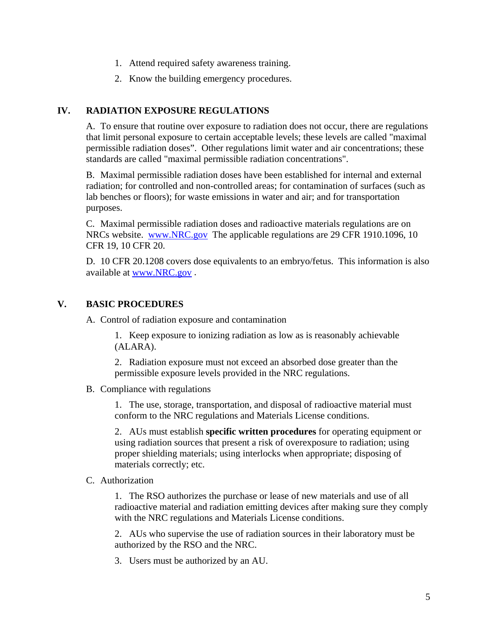- 1. Attend required safety awareness training.
- 2. Know the building emergency procedures.

## **IV. RADIATION EXPOSURE REGULATIONS**

A. To ensure that routine over exposure to radiation does not occur, there are regulations that limit personal exposure to certain acceptable levels; these levels are called "maximal permissible radiation doses". Other regulations limit water and air concentrations; these standards are called "maximal permissible radiation concentrations".

B. Maximal permissible radiation doses have been established for internal and external radiation; for controlled and non-controlled areas; for contamination of surfaces (such as lab benches or floors); for waste emissions in water and air; and for transportation purposes.

C. Maximal permissible radiation doses and radioactive materials regulations are on NRCs website. [www.NRC.gov](http://www.nrc.gov/) The applicable regulations are 29 CFR 1910.1096, 10 CFR 19, 10 CFR 20.

D. 10 CFR 20.1208 covers dose equivalents to an embryo/fetus. This information is also available at [www.NRC.gov](http://www.nrc.gov/) .

## **V. BASIC PROCEDURES**

A. Control of radiation exposure and contamination

1. Keep exposure to ionizing radiation as low as is reasonably achievable (ALARA).

2. Radiation exposure must not exceed an absorbed dose greater than the permissible exposure levels provided in the NRC regulations.

B. Compliance with regulations

1. The use, storage, transportation, and disposal of radioactive material must conform to the NRC regulations and Materials License conditions.

2. AUs must establish **specific written procedures** for operating equipment or using radiation sources that present a risk of overexposure to radiation; using proper shielding materials; using interlocks when appropriate; disposing of materials correctly; etc.

#### C. Authorization

1. The RSO authorizes the purchase or lease of new materials and use of all radioactive material and radiation emitting devices after making sure they comply with the NRC regulations and Materials License conditions.

2. AUs who supervise the use of radiation sources in their laboratory must be authorized by the RSO and the NRC.

3. Users must be authorized by an AU.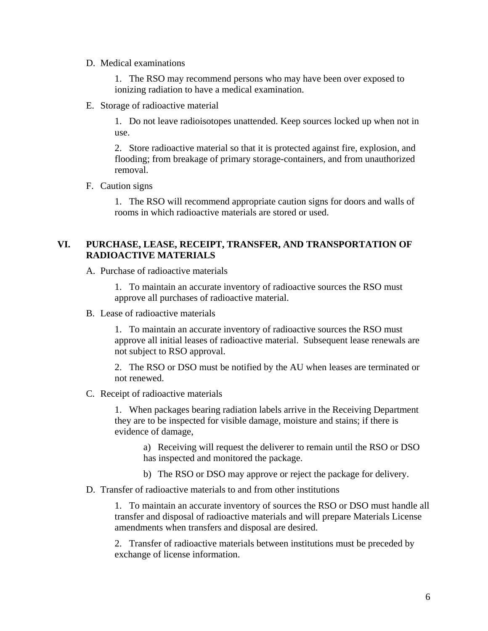#### D. Medical examinations

1. The RSO may recommend persons who may have been over exposed to ionizing radiation to have a medical examination.

E. Storage of radioactive material

1. Do not leave radioisotopes unattended. Keep sources locked up when not in use.

2. Store radioactive material so that it is protected against fire, explosion, and flooding; from breakage of primary storage-containers, and from unauthorized removal.

## F. Caution signs

1. The RSO will recommend appropriate caution signs for doors and walls of rooms in which radioactive materials are stored or used.

# **VI. PURCHASE, LEASE, RECEIPT, TRANSFER, AND TRANSPORTATION OF RADIOACTIVE MATERIALS**

A. Purchase of radioactive materials

1. To maintain an accurate inventory of radioactive sources the RSO must approve all purchases of radioactive material.

B. Lease of radioactive materials

1. To maintain an accurate inventory of radioactive sources the RSO must approve all initial leases of radioactive material. Subsequent lease renewals are not subject to RSO approval.

2. The RSO or DSO must be notified by the AU when leases are terminated or not renewed.

C. Receipt of radioactive materials

1. When packages bearing radiation labels arrive in the Receiving Department they are to be inspected for visible damage, moisture and stains; if there is evidence of damage,

a) Receiving will request the deliverer to remain until the RSO or DSO has inspected and monitored the package.

- b) The RSO or DSO may approve or reject the package for delivery.
- D. Transfer of radioactive materials to and from other institutions

1. To maintain an accurate inventory of sources the RSO or DSO must handle all transfer and disposal of radioactive materials and will prepare Materials License amendments when transfers and disposal are desired.

2. Transfer of radioactive materials between institutions must be preceded by exchange of license information.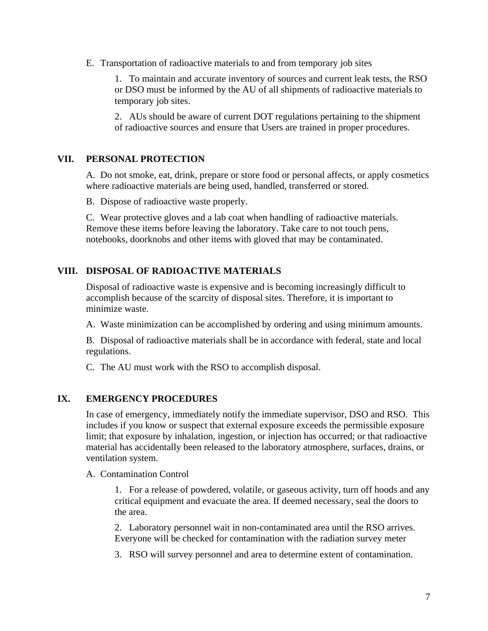E. Transportation of radioactive materials to and from temporary job sites

1. To maintain and accurate inventory of sources and current leak tests, the RSO or DSO must be informed by the AU of all shipments of radioactive materials to temporary job sites.

2. AUs should be aware of current DOT regulations pertaining to the shipment of radioactive sources and ensure that Users are trained in proper procedures.

# **VII. PERSONAL PROTECTION**

A. Do not smoke, eat, drink, prepare or store food or personal affects, or apply cosmetics where radioactive materials are being used, handled, transferred or stored.

B. Dispose of radioactive waste properly.

C. Wear protective gloves and a lab coat when handling of radioactive materials. Remove these items before leaving the laboratory. Take care to not touch pens, notebooks, doorknobs and other items with gloved that may be contaminated.

# **VIII. DISPOSAL OF RADIOACTIVE MATERIALS**

Disposal of radioactive waste is expensive and is becoming increasingly difficult to accomplish because of the scarcity of disposal sites. Therefore, it is important to minimize waste.

A. Waste minimization can be accomplished by ordering and using minimum amounts.

B. Disposal of radioactive materials shall be in accordance with federal, state and local regulations.

C. The AU must work with the RSO to accomplish disposal.

#### **IX. EMERGENCY PROCEDURES**

In case of emergency, immediately notify the immediate supervisor, DSO and RSO. This includes if you know or suspect that external exposure exceeds the permissible exposure limit; that exposure by inhalation, ingestion, or injection has occurred; or that radioactive material has accidentally been released to the laboratory atmosphere, surfaces, drains, or ventilation system.

#### A. Contamination Control

1. For a release of powdered, volatile, or gaseous activity, turn off hoods and any critical equipment and evacuate the area. If deemed necessary, seal the doors to the area.

2. Laboratory personnel wait in non-contaminated area until the RSO arrives. Everyone will be checked for contamination with the radiation survey meter

3. RSO will survey personnel and area to determine extent of contamination.